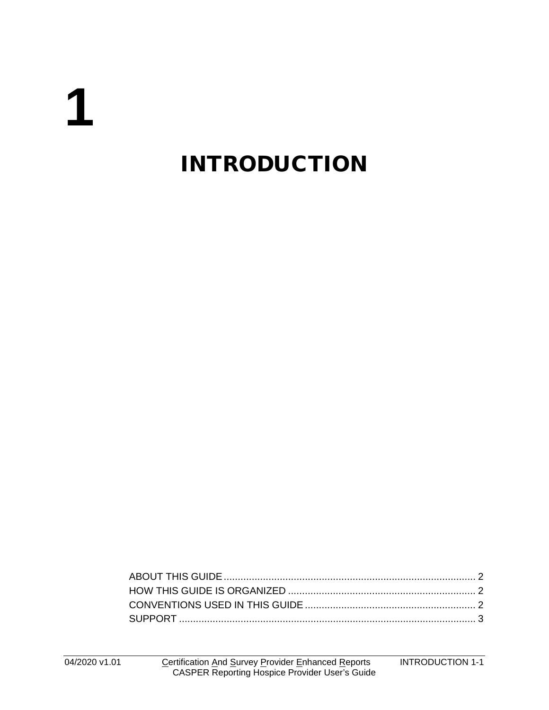# **1**

# INTRODUCTION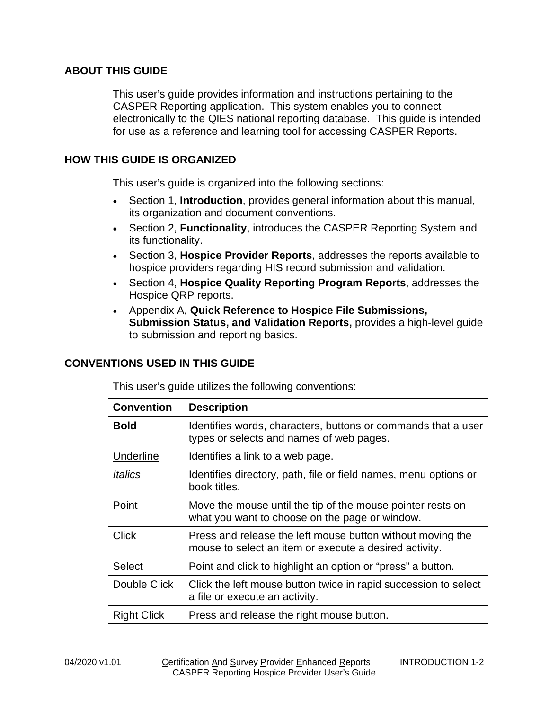### <span id="page-1-0"></span>**ABOUT THIS GUIDE**

This user's guide provides information and instructions pertaining to the CASPER Reporting application. This system enables you to connect electronically to the QIES national reporting database. This guide is intended for use as a reference and learning tool for accessing CASPER Reports.

#### <span id="page-1-1"></span>**HOW THIS GUIDE IS ORGANIZED**

This user's guide is organized into the following sections:

- Section 1, **Introduction**, provides general information about this manual, its organization and document conventions.
- Section 2, **Functionality**, introduces the CASPER Reporting System and its functionality.
- Section 3, **Hospice Provider Reports**, addresses the reports available to hospice providers regarding HIS record submission and validation.
- Section 4, **Hospice Quality Reporting Program Reports**, addresses the Hospice QRP reports.
- Appendix A, **Quick Reference to Hospice File Submissions, Submission Status, and Validation Reports,** provides a high-level guide to submission and reporting basics.

#### <span id="page-1-2"></span>**CONVENTIONS USED IN THIS GUIDE**

This user's guide utilizes the following conventions:

| <b>Convention</b>  | <b>Description</b>                                                                                                   |
|--------------------|----------------------------------------------------------------------------------------------------------------------|
| <b>Bold</b>        | Identifies words, characters, buttons or commands that a user<br>types or selects and names of web pages.            |
| <b>Underline</b>   | Identifies a link to a web page.                                                                                     |
| Italics            | Identifies directory, path, file or field names, menu options or<br>book titles.                                     |
| Point              | Move the mouse until the tip of the mouse pointer rests on<br>what you want to choose on the page or window.         |
| <b>Click</b>       | Press and release the left mouse button without moving the<br>mouse to select an item or execute a desired activity. |
| Select             | Point and click to highlight an option or "press" a button.                                                          |
| Double Click       | Click the left mouse button twice in rapid succession to select<br>a file or execute an activity.                    |
| <b>Right Click</b> | Press and release the right mouse button.                                                                            |